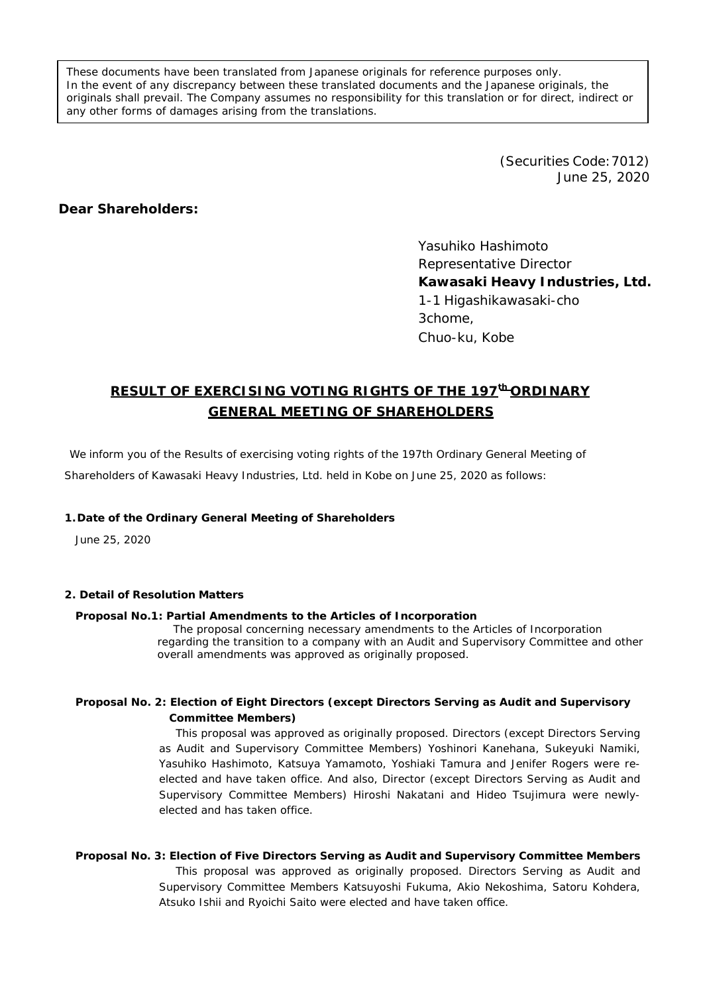These documents have been translated from Japanese originals for reference purposes only. In the event of any discrepancy between these translated documents and the Japanese originals, the originals shall prevail. The Company assumes no responsibility for this translation or for direct, indirect or any other forms of damages arising from the translations.

> (Securities Code:7012) June 25, 2020

## **Dear Shareholders:**

Yasuhiko Hashimoto Representative Director **Kawasaki Heavy Industries, Ltd.** 1-1 Higashikawasaki-cho 3chome, Chuo-ku, Kobe

# **RESULT OF EXERCISING VOTING RIGHTS OF THE 197th ORDINARY GENERAL MEETING OF SHAREHOLDERS**

We inform you of the Results of exercising voting rights of the 197th Ordinary General Meeting of Shareholders of Kawasaki Heavy Industries, Ltd. held in Kobe on June 25, 2020 as follows:

# **1.Date of the Ordinary General Meeting of Shareholders**

June 25, 2020

#### **2. Detail of Resolution Matters**

#### **Proposal No.1: Partial Amendments to the Articles of Incorporation**

The proposal concerning necessary amendments to the Articles of Incorporation regarding the transition to a company with an Audit and Supervisory Committee and other overall amendments was approved as originally proposed.

### **Proposal No. 2: Election of Eight Directors (except Directors Serving as Audit and Supervisory Committee Members)**

This proposal was approved as originally proposed. Directors (except Directors Serving as Audit and Supervisory Committee Members) Yoshinori Kanehana, Sukeyuki Namiki, Yasuhiko Hashimoto, Katsuya Yamamoto, Yoshiaki Tamura and Jenifer Rogers were reelected and have taken office. And also, Director (except Directors Serving as Audit and Supervisory Committee Members) Hiroshi Nakatani and Hideo Tsujimura were newlyelected and has taken office.

**Proposal No. 3: Election of Five Directors Serving as Audit and Supervisory Committee Members** This proposal was approved as originally proposed. Directors Serving as Audit and Supervisory Committee Members Katsuyoshi Fukuma, Akio Nekoshima, Satoru Kohdera, Atsuko Ishii and Ryoichi Saito were elected and have taken office.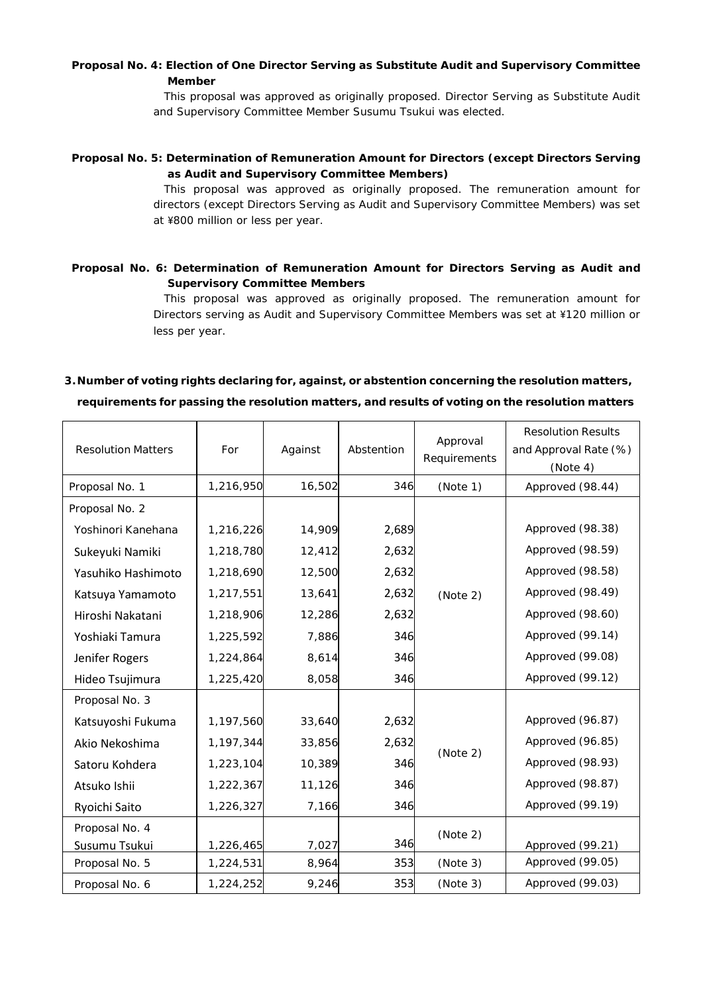## **Proposal No. 4: Election of One Director Serving as Substitute Audit and Supervisory Committee Member**

This proposal was approved as originally proposed. Director Serving as Substitute Audit and Supervisory Committee Member Susumu Tsukui was elected.

### **Proposal No. 5: Determination of Remuneration Amount for Directors (except Directors Serving as Audit and Supervisory Committee Members)**

This proposal was approved as originally proposed. The remuneration amount for directors (except Directors Serving as Audit and Supervisory Committee Members) was set at ¥800 million or less per year.

## **Proposal No. 6: Determination of Remuneration Amount for Directors Serving as Audit and Supervisory Committee Members**

This proposal was approved as originally proposed. The remuneration amount for Directors serving as Audit and Supervisory Committee Members was set at ¥120 million or less per year.

# **3.Number of voting rights declaring for, against, or abstention concerning the resolution matters, requirements for passing the resolution matters, and results of voting on the resolution matters**

| <b>Resolution Matters</b> | For       | Against | Abstention | Approval<br>Requirements | <b>Resolution Results</b><br>and Approval Rate (%)<br>(Note 4) |
|---------------------------|-----------|---------|------------|--------------------------|----------------------------------------------------------------|
| Proposal No. 1            | 1,216,950 | 16,502  | 346        | (Note 1)                 | Approved (98.44)                                               |
| Proposal No. 2            |           |         |            |                          |                                                                |
| Yoshinori Kanehana        | 1,216,226 | 14,909  | 2,689      | (Note 2)                 | Approved (98.38)                                               |
| Sukeyuki Namiki           | 1,218,780 | 12,412  | 2,632      |                          | Approved (98.59)                                               |
| Yasuhiko Hashimoto        | 1,218,690 | 12,500  | 2,632      |                          | Approved (98.58)                                               |
| Katsuya Yamamoto          | 1,217,551 | 13,641  | 2,632      |                          | Approved (98.49)                                               |
| Hiroshi Nakatani          | 1,218,906 | 12,286  | 2,632      |                          | Approved (98.60)                                               |
| Yoshiaki Tamura           | 1,225,592 | 7,886   | 346        |                          | Approved (99.14)                                               |
| Jenifer Rogers            | 1,224,864 | 8,614   | 346        |                          | Approved (99.08)                                               |
| Hideo Tsujimura           | 1,225,420 | 8,058   | 346        |                          | Approved (99.12)                                               |
| Proposal No. 3            |           |         |            |                          |                                                                |
| Katsuyoshi Fukuma         | 1,197,560 | 33,640  | 2,632      | (Note 2)                 | Approved (96.87)                                               |
| Akio Nekoshima            | 1,197,344 | 33,856  | 2,632      |                          | Approved (96.85)                                               |
| Satoru Kohdera            | 1,223,104 | 10,389  | 346        |                          | Approved (98.93)                                               |
| Atsuko Ishii              | 1,222,367 | 11,126  | 346        |                          | Approved (98.87)                                               |
| Ryoichi Saito             | 1,226,327 | 7,166   | 346        |                          | Approved (99.19)                                               |
| Proposal No. 4            |           |         |            | (Note 2)                 |                                                                |
| Susumu Tsukui             | 1,226,465 | 7,027   | 346        |                          | Approved (99.21)                                               |
| Proposal No. 5            | 1,224,531 | 8,964   | 353        | (Note 3)                 | Approved (99.05)                                               |
| Proposal No. 6            | 1,224,252 | 9,246   | 353        | (Note 3)                 | Approved (99.03)                                               |